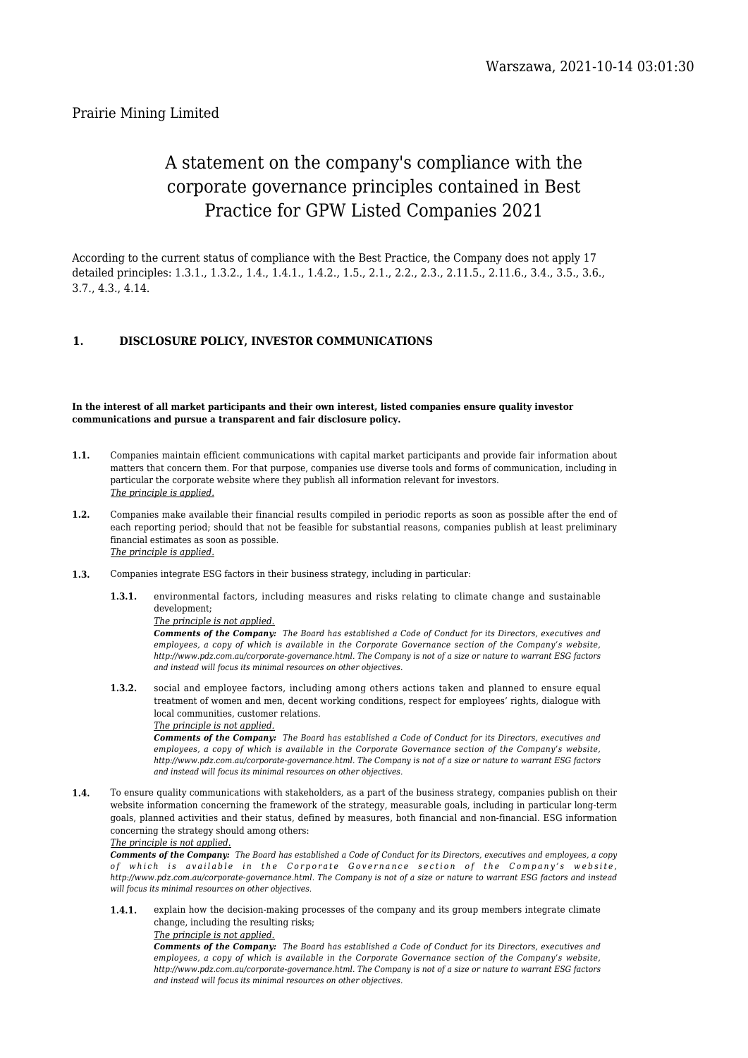# Prairie Mining Limited

# A statement on the company's compliance with the corporate governance principles contained in Best Practice for GPW Listed Companies 2021

According to the current status of compliance with the Best Practice, the Company does not apply 17 detailed principles: 1.3.1., 1.3.2., 1.4., 1.4.1., 1.4.2., 1.5., 2.1., 2.2., 2.3., 2.11.5., 2.11.6., 3.4., 3.5., 3.6., 3.7., 4.3., 4.14.

# **1. DISCLOSURE POLICY, INVESTOR COMMUNICATIONS**

#### **In the interest of all market participants and their own interest, listed companies ensure quality investor communications and pursue a transparent and fair disclosure policy.**

- **1.1.** Companies maintain efficient communications with capital market participants and provide fair information about matters that concern them. For that purpose, companies use diverse tools and forms of communication, including in particular the corporate website where they publish all information relevant for investors. *The principle is applied.*
- **1.2.** Companies make available their financial results compiled in periodic reports as soon as possible after the end of each reporting period; should that not be feasible for substantial reasons, companies publish at least preliminary financial estimates as soon as possible. *The principle is applied.*
- **1.3.** Companies integrate ESG factors in their business strategy, including in particular:
	- **1.3.1.** environmental factors, including measures and risks relating to climate change and sustainable development;

#### *The principle is not applied.*

*Comments of the Company: The Board has established a Code of Conduct for its Directors, executives and employees, a copy of which is available in the Corporate Governance section of the Company's website, http://www.pdz.com.au/corporate-governance.html. The Company is not of a size or nature to warrant ESG factors and instead will focus its minimal resources on other objectives.*

**1.3.2.** social and employee factors, including among others actions taken and planned to ensure equal treatment of women and men, decent working conditions, respect for employees' rights, dialogue with local communities, customer relations.

#### *The principle is not applied.*

*Comments of the Company: The Board has established a Code of Conduct for its Directors, executives and employees, a copy of which is available in the Corporate Governance section of the Company's website, http://www.pdz.com.au/corporate-governance.html. The Company is not of a size or nature to warrant ESG factors and instead will focus its minimal resources on other objectives.*

**1.4.** To ensure quality communications with stakeholders, as a part of the business strategy, companies publish on their website information concerning the framework of the strategy, measurable goals, including in particular long-term goals, planned activities and their status, defined by measures, both financial and non-financial. ESG information concerning the strategy should among others:

*The principle is not applied.*

*Comments of the Company: The Board has established a Code of Conduct for its Directors, executives and employees, a copy of which is available in the Corporate Governance section of the Company's website, http://www.pdz.com.au/corporate-governance.html. The Company is not of a size or nature to warrant ESG factors and instead will focus its minimal resources on other objectives.*

**1.4.1.** explain how the decision-making processes of the company and its group members integrate climate change, including the resulting risks;

*The principle is not applied.*

*Comments of the Company: The Board has established a Code of Conduct for its Directors, executives and employees, a copy of which is available in the Corporate Governance section of the Company's website, http://www.pdz.com.au/corporate-governance.html. The Company is not of a size or nature to warrant ESG factors and instead will focus its minimal resources on other objectives.*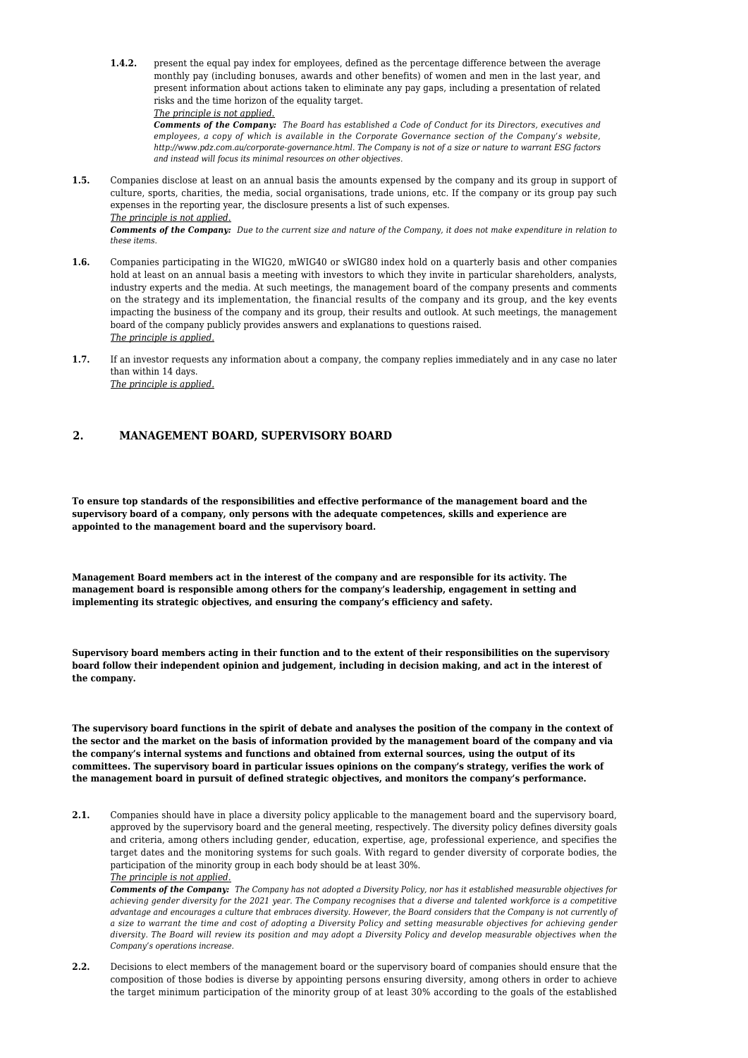**1.4.2.** present the equal pay index for employees, defined as the percentage difference between the average monthly pay (including bonuses, awards and other benefits) of women and men in the last year, and present information about actions taken to eliminate any pay gaps, including a presentation of related risks and the time horizon of the equality target. *The principle is not applied.*

*Comments of the Company: The Board has established a Code of Conduct for its Directors, executives and employees, a copy of which is available in the Corporate Governance section of the Company's website, http://www.pdz.com.au/corporate-governance.html. The Company is not of a size or nature to warrant ESG factors and instead will focus its minimal resources on other objectives.*

**1.5.** Companies disclose at least on an annual basis the amounts expensed by the company and its group in support of culture, sports, charities, the media, social organisations, trade unions, etc. If the company or its group pay such expenses in the reporting year, the disclosure presents a list of such expenses.

*Comments of the Company: Due to the current size and nature of the Company, it does not make expenditure in relation to these items.*

- **1.6.** Companies participating in the WIG20, mWIG40 or sWIG80 index hold on a quarterly basis and other companies hold at least on an annual basis a meeting with investors to which they invite in particular shareholders, analysts, industry experts and the media. At such meetings, the management board of the company presents and comments on the strategy and its implementation, the financial results of the company and its group, and the key events impacting the business of the company and its group, their results and outlook. At such meetings, the management board of the company publicly provides answers and explanations to questions raised. *The principle is applied.*
- **1.7.** If an investor requests any information about a company, the company replies immediately and in any case no later than within 14 days. *The principle is applied.*

# **2. MANAGEMENT BOARD, SUPERVISORY BOARD**

**To ensure top standards of the responsibilities and effective performance of the management board and the supervisory board of a company, only persons with the adequate competences, skills and experience are appointed to the management board and the supervisory board.**

**Management Board members act in the interest of the company and are responsible for its activity. The management board is responsible among others for the company's leadership, engagement in setting and implementing its strategic objectives, and ensuring the company's efficiency and safety.**

**Supervisory board members acting in their function and to the extent of their responsibilities on the supervisory board follow their independent opinion and judgement, including in decision making, and act in the interest of the company.**

**The supervisory board functions in the spirit of debate and analyses the position of the company in the context of the sector and the market on the basis of information provided by the management board of the company and via the company's internal systems and functions and obtained from external sources, using the output of its committees. The supervisory board in particular issues opinions on the company's strategy, verifies the work of the management board in pursuit of defined strategic objectives, and monitors the company's performance.**

**2.1.** Companies should have in place a diversity policy applicable to the management board and the supervisory board, approved by the supervisory board and the general meeting, respectively. The diversity policy defines diversity goals and criteria, among others including gender, education, expertise, age, professional experience, and specifies the target dates and the monitoring systems for such goals. With regard to gender diversity of corporate bodies, the participation of the minority group in each body should be at least 30%. *The principle is not applied.*

*Comments of the Company: The Company has not adopted a Diversity Policy, nor has it established measurable objectives for achieving gender diversity for the 2021 year. The Company recognises that a diverse and talented workforce is a competitive advantage and encourages a culture that embraces diversity. However, the Board considers that the Company is not currently of a size to warrant the time and cost of adopting a Diversity Policy and setting measurable objectives for achieving gender diversity. The Board will review its position and may adopt a Diversity Policy and develop measurable objectives when the Company's operations increase.*

**2.2.** Decisions to elect members of the management board or the supervisory board of companies should ensure that the composition of those bodies is diverse by appointing persons ensuring diversity, among others in order to achieve the target minimum participation of the minority group of at least 30% according to the goals of the established

*The principle is not applied.*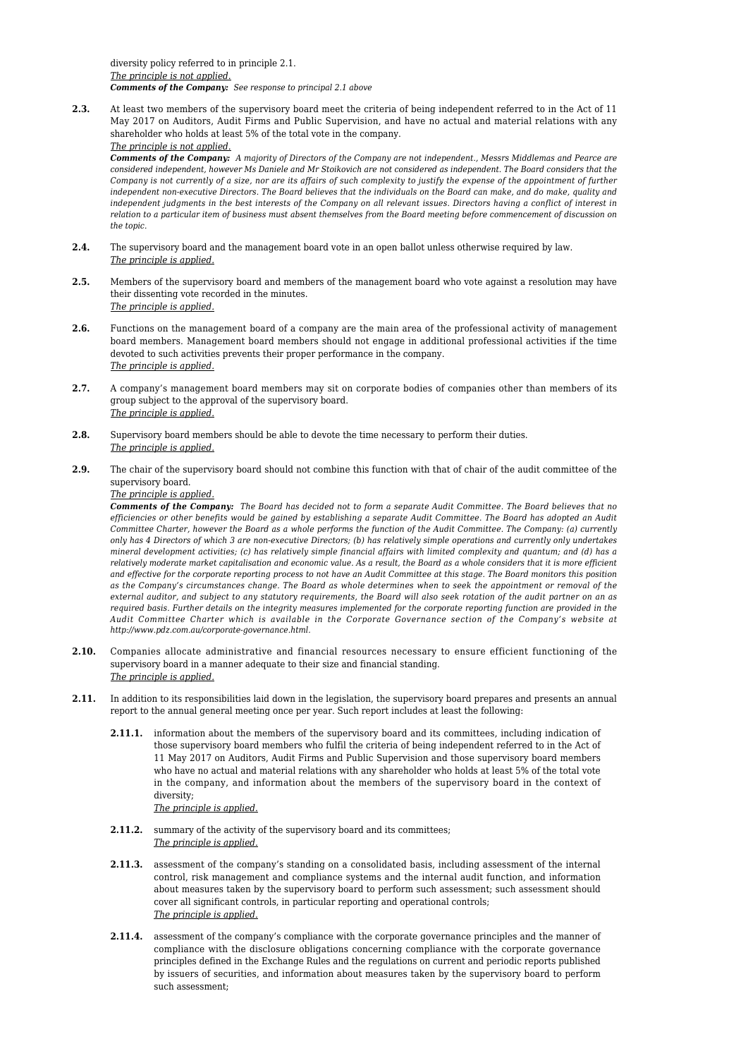diversity policy referred to in principle 2.1. *The principle is not applied. Comments of the Company: See response to principal 2.1 above*

**2.3.** At least two members of the supervisory board meet the criteria of being independent referred to in the Act of 11 May 2017 on Auditors, Audit Firms and Public Supervision, and have no actual and material relations with any shareholder who holds at least 5% of the total vote in the company.

*The principle is not applied.*

*Comments of the Company: A majority of Directors of the Company are not independent., Messrs Middlemas and Pearce are considered independent, however Ms Daniele and Mr Stoikovich are not considered as independent. The Board considers that the Company is not currently of a size, nor are its affairs of such complexity to justify the expense of the appointment of further independent non-executive Directors. The Board believes that the individuals on the Board can make, and do make, quality and independent judgments in the best interests of the Company on all relevant issues. Directors having a conflict of interest in relation to a particular item of business must absent themselves from the Board meeting before commencement of discussion on the topic.*

- **2.4.** The supervisory board and the management board vote in an open ballot unless otherwise required by law. *The principle is applied.*
- **2.5.** Members of the supervisory board and members of the management board who vote against a resolution may have their dissenting vote recorded in the minutes. *The principle is applied.*
- **2.6.** Functions on the management board of a company are the main area of the professional activity of management board members. Management board members should not engage in additional professional activities if the time devoted to such activities prevents their proper performance in the company. *The principle is applied.*
- **2.7.** A company's management board members may sit on corporate bodies of companies other than members of its group subject to the approval of the supervisory board. *The principle is applied.*
- **2.8.** Supervisory board members should be able to devote the time necessary to perform their duties. *The principle is applied.*
- **2.9.** The chair of the supervisory board should not combine this function with that of chair of the audit committee of the supervisory board.

*The principle is applied.*

*Comments of the Company: The Board has decided not to form a separate Audit Committee. The Board believes that no efficiencies or other benefits would be gained by establishing a separate Audit Committee. The Board has adopted an Audit Committee Charter, however the Board as a whole performs the function of the Audit Committee. The Company: (a) currently only has 4 Directors of which 3 are non-executive Directors; (b) has relatively simple operations and currently only undertakes mineral development activities; (c) has relatively simple financial affairs with limited complexity and quantum; and (d) has a relatively moderate market capitalisation and economic value. As a result, the Board as a whole considers that it is more efficient and effective for the corporate reporting process to not have an Audit Committee at this stage. The Board monitors this position as the Company's circumstances change. The Board as whole determines when to seek the appointment or removal of the external auditor, and subject to any statutory requirements, the Board will also seek rotation of the audit partner on an as required basis. Further details on the integrity measures implemented for the corporate reporting function are provided in the Audit Committee Charter which is available in the Corporate Governance section of the Company's website at http://www.pdz.com.au/corporate-governance.html.*

- **2.10.** Companies allocate administrative and financial resources necessary to ensure efficient functioning of the supervisory board in a manner adequate to their size and financial standing. *The principle is applied.*
- **2.11.** In addition to its responsibilities laid down in the legislation, the supervisory board prepares and presents an annual report to the annual general meeting once per year. Such report includes at least the following:
	- **2.11.1.** information about the members of the supervisory board and its committees, including indication of those supervisory board members who fulfil the criteria of being independent referred to in the Act of 11 May 2017 on Auditors, Audit Firms and Public Supervision and those supervisory board members who have no actual and material relations with any shareholder who holds at least 5% of the total vote in the company, and information about the members of the supervisory board in the context of diversity; *The principle is applied.*
	- 2.11.2. summary of the activity of the supervisory board and its committees; *The principle is applied.*
	- **2.11.3.** assessment of the company's standing on a consolidated basis, including assessment of the internal control, risk management and compliance systems and the internal audit function, and information about measures taken by the supervisory board to perform such assessment; such assessment should cover all significant controls, in particular reporting and operational controls; *The principle is applied.*
	- **2.11.4.** assessment of the company's compliance with the corporate governance principles and the manner of compliance with the disclosure obligations concerning compliance with the corporate governance principles defined in the Exchange Rules and the regulations on current and periodic reports published by issuers of securities, and information about measures taken by the supervisory board to perform such assessment;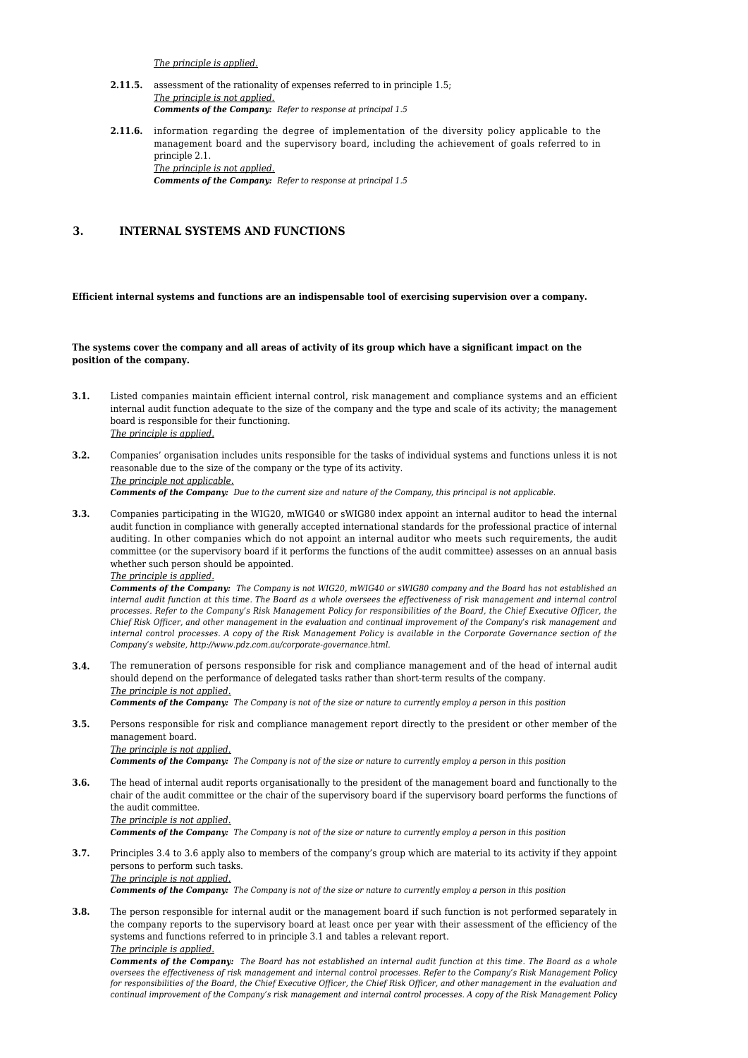*The principle is applied.*

- **2.11.5.** assessment of the rationality of expenses referred to in principle 1.5; *The principle is not applied. Comments of the Company: Refer to response at principal 1.5*
- **2.11.6.** information regarding the degree of implementation of the diversity policy applicable to the management board and the supervisory board, including the achievement of goals referred to in principle 2.1. *The principle is not applied. Comments of the Company: Refer to response at principal 1.5*

### **3. INTERNAL SYSTEMS AND FUNCTIONS**

#### **Efficient internal systems and functions are an indispensable tool of exercising supervision over a company.**

#### **The systems cover the company and all areas of activity of its group which have a significant impact on the position of the company.**

- **3.1.** Listed companies maintain efficient internal control, risk management and compliance systems and an efficient internal audit function adequate to the size of the company and the type and scale of its activity; the management board is responsible for their functioning. *The principle is applied.*
- **3.2.** Companies' organisation includes units responsible for the tasks of individual systems and functions unless it is not reasonable due to the size of the company or the type of its activity. *The principle not applicable. Comments of the Company: Due to the current size and nature of the Company, this principal is not applicable.*
- **3.3.** Companies participating in the WIG20, mWIG40 or sWIG80 index appoint an internal auditor to head the internal audit function in compliance with generally accepted international standards for the professional practice of internal auditing. In other companies which do not appoint an internal auditor who meets such requirements, the audit committee (or the supervisory board if it performs the functions of the audit committee) assesses on an annual basis whether such person should be appointed.

*The principle is applied.*

*Comments of the Company: The Company is not WIG20, mWIG40 or sWIG80 company and the Board has not established an internal audit function at this time. The Board as a whole oversees the effectiveness of risk management and internal control processes. Refer to the Company's Risk Management Policy for responsibilities of the Board, the Chief Executive Officer, the Chief Risk Officer, and other management in the evaluation and continual improvement of the Company's risk management and internal control processes. A copy of the Risk Management Policy is available in the Corporate Governance section of the Company's website, http://www.pdz.com.au/corporate-governance.html.*

**3.4.** The remuneration of persons responsible for risk and compliance management and of the head of internal audit should depend on the performance of delegated tasks rather than short-term results of the company. *The principle is not applied.*

*Comments of the Company: The Company is not of the size or nature to currently employ a person in this position*

**3.5.** Persons responsible for risk and compliance management report directly to the president or other member of the management board. *The principle is not applied.*

*Comments of the Company: The Company is not of the size or nature to currently employ a person in this position*

**3.6.** The head of internal audit reports organisationally to the president of the management board and functionally to the chair of the audit committee or the chair of the supervisory board if the supervisory board performs the functions of the audit committee. *The principle is not applied.*

*Comments of the Company: The Company is not of the size or nature to currently employ a person in this position*

**3.7.** Principles 3.4 to 3.6 apply also to members of the company's group which are material to its activity if they appoint persons to perform such tasks. *The principle is not applied.*

*Comments of the Company: The Company is not of the size or nature to currently employ a person in this position*

**3.8.** The person responsible for internal audit or the management board if such function is not performed separately in the company reports to the supervisory board at least once per year with their assessment of the efficiency of the systems and functions referred to in principle 3.1 and tables a relevant report. *The principle is applied.*

*Comments of the Company: The Board has not established an internal audit function at this time. The Board as a whole oversees the effectiveness of risk management and internal control processes. Refer to the Company's Risk Management Policy for responsibilities of the Board, the Chief Executive Officer, the Chief Risk Officer, and other management in the evaluation and continual improvement of the Company's risk management and internal control processes. A copy of the Risk Management Policy*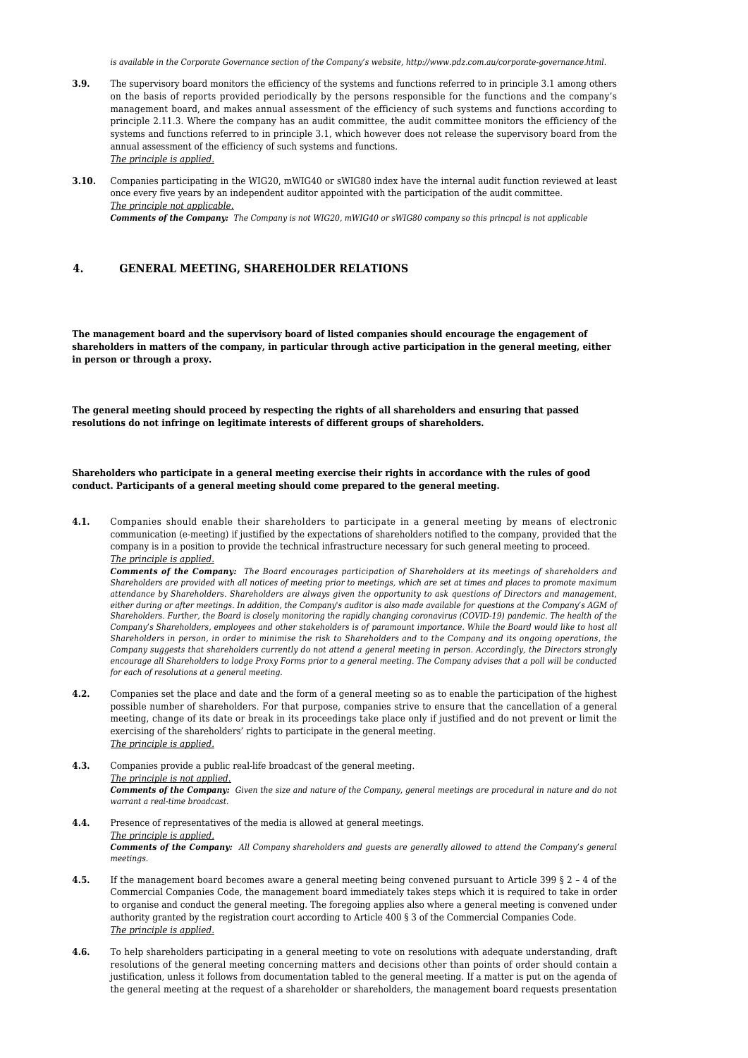*is available in the Corporate Governance section of the Company's website, http://www.pdz.com.au/corporate-governance.html.*

- **3.9.** The supervisory board monitors the efficiency of the systems and functions referred to in principle 3.1 among others on the basis of reports provided periodically by the persons responsible for the functions and the company's management board, and makes annual assessment of the efficiency of such systems and functions according to principle 2.11.3. Where the company has an audit committee, the audit committee monitors the efficiency of the systems and functions referred to in principle 3.1, which however does not release the supervisory board from the annual assessment of the efficiency of such systems and functions. *The principle is applied.*
- **3.10.** Companies participating in the WIG20, mWIG40 or sWIG80 index have the internal audit function reviewed at least once every five years by an independent auditor appointed with the participation of the audit committee. *The principle not applicable.*

*Comments of the Company: The Company is not WIG20, mWIG40 or sWIG80 company so this princpal is not applicable*

# **4. GENERAL MEETING, SHAREHOLDER RELATIONS**

**The management board and the supervisory board of listed companies should encourage the engagement of shareholders in matters of the company, in particular through active participation in the general meeting, either in person or through a proxy.**

**The general meeting should proceed by respecting the rights of all shareholders and ensuring that passed resolutions do not infringe on legitimate interests of different groups of shareholders.**

**Shareholders who participate in a general meeting exercise their rights in accordance with the rules of good conduct. Participants of a general meeting should come prepared to the general meeting.**

**4.1.** Companies should enable their shareholders to participate in a general meeting by means of electronic communication (e-meeting) if justified by the expectations of shareholders notified to the company, provided that the company is in a position to provide the technical infrastructure necessary for such general meeting to proceed. *The principle is applied.*

*Comments of the Company: The Board encourages participation of Shareholders at its meetings of shareholders and Shareholders are provided with all notices of meeting prior to meetings, which are set at times and places to promote maximum attendance by Shareholders. Shareholders are always given the opportunity to ask questions of Directors and management, either during or after meetings. In addition, the Company's auditor is also made available for questions at the Company's AGM of Shareholders. Further, the Board is closely monitoring the rapidly changing coronavirus (COVID-19) pandemic. The health of the Company's Shareholders, employees and other stakeholders is of paramount importance. While the Board would like to host all Shareholders in person, in order to minimise the risk to Shareholders and to the Company and its ongoing operations, the Company suggests that shareholders currently do not attend a general meeting in person. Accordingly, the Directors strongly encourage all Shareholders to lodge Proxy Forms prior to a general meeting. The Company advises that a poll will be conducted for each of resolutions at a general meeting.*

**4.2.** Companies set the place and date and the form of a general meeting so as to enable the participation of the highest possible number of shareholders. For that purpose, companies strive to ensure that the cancellation of a general meeting, change of its date or break in its proceedings take place only if justified and do not prevent or limit the exercising of the shareholders' rights to participate in the general meeting. *The principle is applied.*

**4.3.** Companies provide a public real-life broadcast of the general meeting. *The principle is not applied. Comments of the Company: Given the size and nature of the Company, general meetings are procedural in nature and do not warrant a real-time broadcast.*

- **4.4.** Presence of representatives of the media is allowed at general meetings. *The principle is applied. Comments of the Company: All Company shareholders and guests are generally allowed to attend the Company's general meetings.*
- **4.5.** If the management board becomes aware a general meeting being convened pursuant to Article 399 § 2 4 of the Commercial Companies Code, the management board immediately takes steps which it is required to take in order to organise and conduct the general meeting. The foregoing applies also where a general meeting is convened under authority granted by the registration court according to Article 400 § 3 of the Commercial Companies Code. *The principle is applied.*
- **4.6.** To help shareholders participating in a general meeting to vote on resolutions with adequate understanding, draft resolutions of the general meeting concerning matters and decisions other than points of order should contain a justification, unless it follows from documentation tabled to the general meeting. If a matter is put on the agenda of the general meeting at the request of a shareholder or shareholders, the management board requests presentation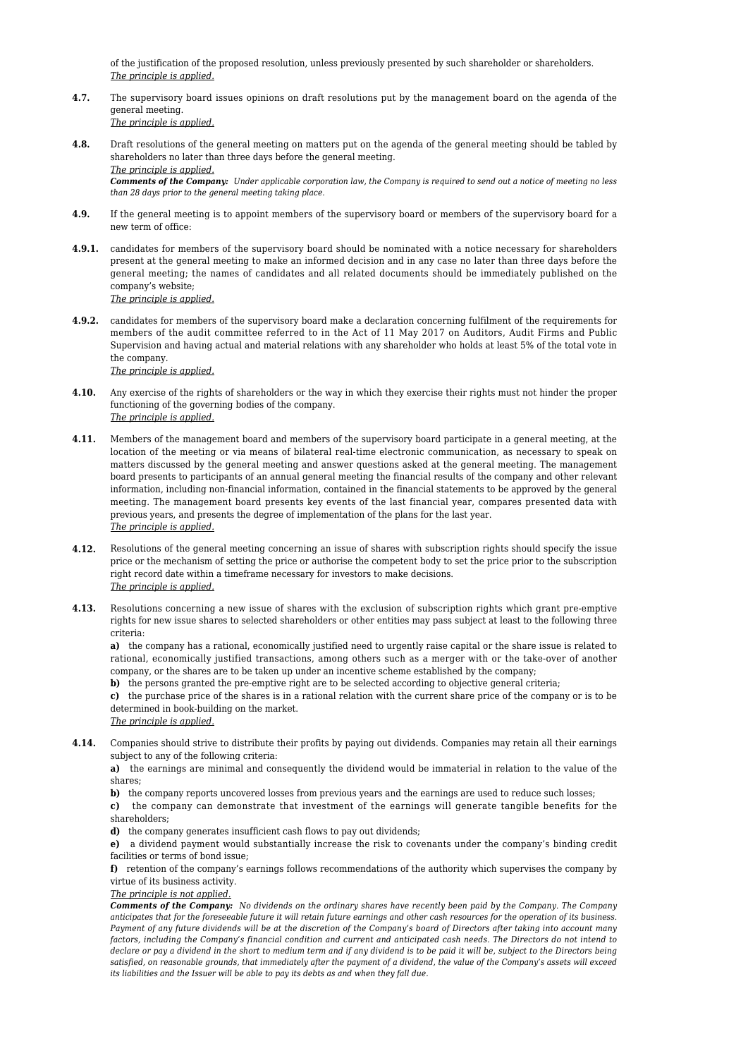of the justification of the proposed resolution, unless previously presented by such shareholder or shareholders. *The principle is applied.*

- **4.7.** The supervisory board issues opinions on draft resolutions put by the management board on the agenda of the general meeting. *The principle is applied.*
- **4.8.** Draft resolutions of the general meeting on matters put on the agenda of the general meeting should be tabled by shareholders no later than three days before the general meeting. *The principle is applied. Comments of the Company: Under applicable corporation law, the Company is required to send out a notice of meeting no less than 28 days prior to the general meeting taking place.*
- **4.9.** If the general meeting is to appoint members of the supervisory board or members of the supervisory board for a new term of office:
- **4.9.1.** candidates for members of the supervisory board should be nominated with a notice necessary for shareholders present at the general meeting to make an informed decision and in any case no later than three days before the general meeting; the names of candidates and all related documents should be immediately published on the company's website; *The principle is applied.*
- **4.9.2.** candidates for members of the supervisory board make a declaration concerning fulfilment of the requirements for members of the audit committee referred to in the Act of 11 May 2017 on Auditors, Audit Firms and Public Supervision and having actual and material relations with any shareholder who holds at least 5% of the total vote in the company.

*The principle is applied.*

- **4.10.** Any exercise of the rights of shareholders or the way in which they exercise their rights must not hinder the proper functioning of the governing bodies of the company. *The principle is applied.*
- **4.11.** Members of the management board and members of the supervisory board participate in a general meeting, at the location of the meeting or via means of bilateral real-time electronic communication, as necessary to speak on matters discussed by the general meeting and answer questions asked at the general meeting. The management board presents to participants of an annual general meeting the financial results of the company and other relevant information, including non-financial information, contained in the financial statements to be approved by the general meeting. The management board presents key events of the last financial year, compares presented data with previous years, and presents the degree of implementation of the plans for the last year. *The principle is applied.*
- **4.12.** Resolutions of the general meeting concerning an issue of shares with subscription rights should specify the issue price or the mechanism of setting the price or authorise the competent body to set the price prior to the subscription right record date within a timeframe necessary for investors to make decisions. *The principle is applied.*
- **4.13.** Resolutions concerning a new issue of shares with the exclusion of subscription rights which grant pre-emptive rights for new issue shares to selected shareholders or other entities may pass subject at least to the following three criteria:

**a)** the company has a rational, economically justified need to urgently raise capital or the share issue is related to rational, economically justified transactions, among others such as a merger with or the take-over of another company, or the shares are to be taken up under an incentive scheme established by the company;

**b)** the persons granted the pre-emptive right are to be selected according to objective general criteria;

**c)** the purchase price of the shares is in a rational relation with the current share price of the company or is to be determined in book-building on the market.

- *The principle is applied.*
- **4.14.** Companies should strive to distribute their profits by paying out dividends. Companies may retain all their earnings subject to any of the following criteria:

**a)** the earnings are minimal and consequently the dividend would be immaterial in relation to the value of the shares;

**b)** the company reports uncovered losses from previous years and the earnings are used to reduce such losses;

**c)** the company can demonstrate that investment of the earnings will generate tangible benefits for the shareholders;

**d)** the company generates insufficient cash flows to pay out dividends;

**e)** a dividend payment would substantially increase the risk to covenants under the company's binding credit facilities or terms of bond issue;

**f)** retention of the company's earnings follows recommendations of the authority which supervises the company by virtue of its business activity.

*The principle is not applied.*

*Comments of the Company: No dividends on the ordinary shares have recently been paid by the Company. The Company anticipates that for the foreseeable future it will retain future earnings and other cash resources for the operation of its business. Payment of any future dividends will be at the discretion of the Company's board of Directors after taking into account many factors, including the Company's financial condition and current and anticipated cash needs. The Directors do not intend to declare or pay a dividend in the short to medium term and if any dividend is to be paid it will be, subject to the Directors being satisfied, on reasonable grounds, that immediately after the payment of a dividend, the value of the Company's assets will exceed its liabilities and the Issuer will be able to pay its debts as and when they fall due.*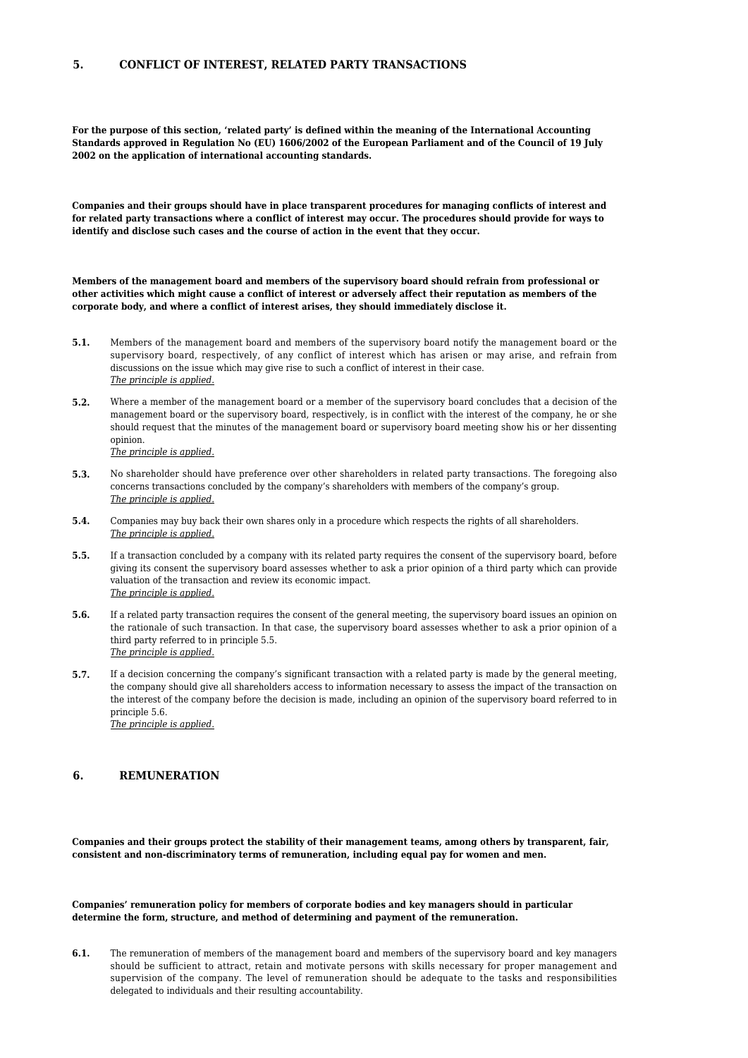# **5. CONFLICT OF INTEREST, RELATED PARTY TRANSACTIONS**

**For the purpose of this section, 'related party' is defined within the meaning of the International Accounting Standards approved in Regulation No (EU) 1606/2002 of the European Parliament and of the Council of 19 July 2002 on the application of international accounting standards.**

**Companies and their groups should have in place transparent procedures for managing conflicts of interest and for related party transactions where a conflict of interest may occur. The procedures should provide for ways to identify and disclose such cases and the course of action in the event that they occur.**

**Members of the management board and members of the supervisory board should refrain from professional or other activities which might cause a conflict of interest or adversely affect their reputation as members of the corporate body, and where a conflict of interest arises, they should immediately disclose it.**

- **5.1.** Members of the management board and members of the supervisory board notify the management board or the supervisory board, respectively, of any conflict of interest which has arisen or may arise, and refrain from discussions on the issue which may give rise to such a conflict of interest in their case. *The principle is applied.*
- **5.2.** Where a member of the management board or a member of the supervisory board concludes that a decision of the management board or the supervisory board, respectively, is in conflict with the interest of the company, he or she should request that the minutes of the management board or supervisory board meeting show his or her dissenting opinion.

*The principle is applied.*

- **5.3.** No shareholder should have preference over other shareholders in related party transactions. The foregoing also concerns transactions concluded by the company's shareholders with members of the company's group. *The principle is applied.*
- **5.4.** Companies may buy back their own shares only in a procedure which respects the rights of all shareholders. *The principle is applied.*
- **5.5.** If a transaction concluded by a company with its related party requires the consent of the supervisory board, before giving its consent the supervisory board assesses whether to ask a prior opinion of a third party which can provide valuation of the transaction and review its economic impact. *The principle is applied.*
- **5.6.** If a related party transaction requires the consent of the general meeting, the supervisory board issues an opinion on the rationale of such transaction. In that case, the supervisory board assesses whether to ask a prior opinion of a third party referred to in principle 5.5. *The principle is applied.*
- **5.7.** If a decision concerning the company's significant transaction with a related party is made by the general meeting, the company should give all shareholders access to information necessary to assess the impact of the transaction on the interest of the company before the decision is made, including an opinion of the supervisory board referred to in principle 5.6. *The principle is applied.*

### **6. REMUNERATION**

**Companies and their groups protect the stability of their management teams, among others by transparent, fair, consistent and non-discriminatory terms of remuneration, including equal pay for women and men.**

**Companies' remuneration policy for members of corporate bodies and key managers should in particular determine the form, structure, and method of determining and payment of the remuneration.**

**6.1.** The remuneration of members of the management board and members of the supervisory board and key managers should be sufficient to attract, retain and motivate persons with skills necessary for proper management and supervision of the company. The level of remuneration should be adequate to the tasks and responsibilities delegated to individuals and their resulting accountability.